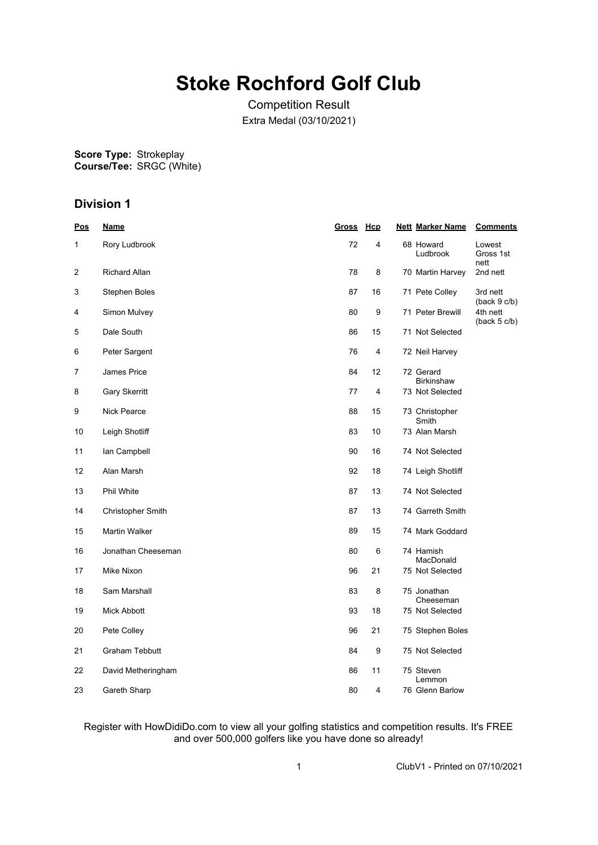# **Stoke Rochford Golf Club**

Competition Result Extra Medal (03/10/2021)

**Score Type: Course/Tee:** Strokeplay SRGC (White)

## **Division 1**

| <u>Pos</u> | <u>Name</u>           | <u>Gross</u> | <u>Hcp</u> | <b>Nett Marker Name</b>        | <b>Comments</b>             |
|------------|-----------------------|--------------|------------|--------------------------------|-----------------------------|
| 1          | Rory Ludbrook         | 72           | 4          | 68 Howard<br>Ludbrook          | Lowest<br>Gross 1st<br>nett |
| 2          | <b>Richard Allan</b>  | 78           | 8          | 70 Martin Harvey               | 2nd nett                    |
| 3          | Stephen Boles         | 87           | 16         | 71 Pete Colley                 | 3rd nett<br>(back 9 c/b)    |
| 4          | Simon Mulvey          | 80           | 9          | 71 Peter Brewill               | 4th nett<br>(back 5 c/b)    |
| 5          | Dale South            | 86           | 15         | 71 Not Selected                |                             |
| 6          | Peter Sargent         | 76           | 4          | 72 Neil Harvey                 |                             |
| 7          | James Price           | 84           | 12         | 72 Gerard<br><b>Birkinshaw</b> |                             |
| 8          | <b>Gary Skerritt</b>  | 77           | 4          | 73 Not Selected                |                             |
| 9          | Nick Pearce           | 88           | 15         | 73 Christopher<br>Smith        |                             |
| 10         | Leigh Shotliff        | 83           | 10         | 73 Alan Marsh                  |                             |
| 11         | lan Campbell          | 90           | 16         | 74 Not Selected                |                             |
| 12         | Alan Marsh            | 92           | 18         | 74 Leigh Shotliff              |                             |
| 13         | Phil White            | 87           | 13         | 74 Not Selected                |                             |
| 14         | Christopher Smith     | 87           | 13         | 74 Garreth Smith               |                             |
| 15         | Martin Walker         | 89           | 15         | 74 Mark Goddard                |                             |
| 16         | Jonathan Cheeseman    | 80           | 6          | 74 Hamish<br>MacDonald         |                             |
| 17         | Mike Nixon            | 96           | 21         | 75 Not Selected                |                             |
| 18         | Sam Marshall          | 83           | 8          | 75 Jonathan<br>Cheeseman       |                             |
| 19         | Mick Abbott           | 93           | 18         | 75 Not Selected                |                             |
| 20         | Pete Colley           | 96           | 21         | 75 Stephen Boles               |                             |
| 21         | <b>Graham Tebbutt</b> | 84           | 9          | 75 Not Selected                |                             |
| 22         | David Metheringham    | 86           | 11         | 75 Steven<br>Lemmon            |                             |
| 23         | Gareth Sharp          | 80           | 4          | 76 Glenn Barlow                |                             |

#### Register with HowDidiDo.com to view all your golfing statistics and competition results. It's FREE and over 500,000 golfers like you have done so already!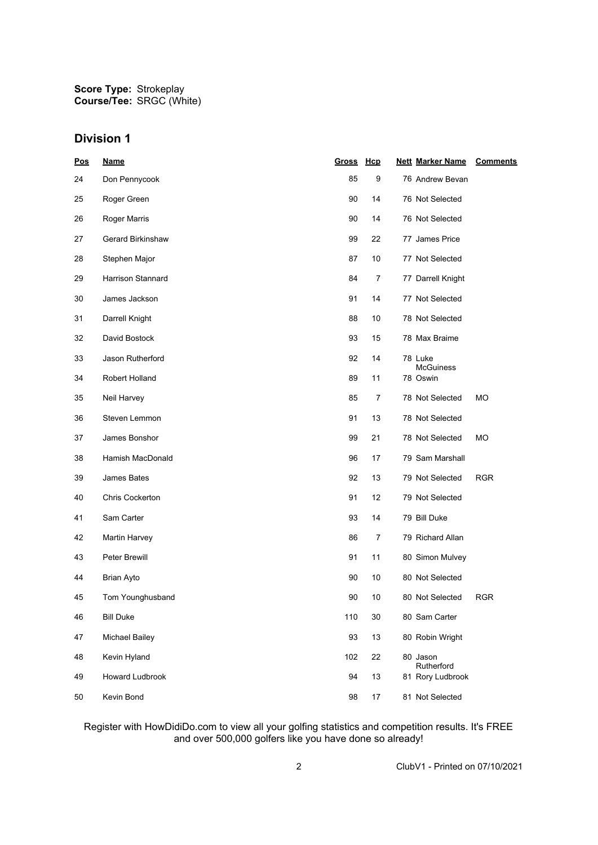**Score Type: Course/Tee:** Strokeplay SRGC (White)

## **Division 1**

| Pos | <b>Name</b>           | <b>Gross</b> | Hcp            | <b>Nett Marker Name</b>        | <b>Comments</b> |
|-----|-----------------------|--------------|----------------|--------------------------------|-----------------|
| 24  | Don Pennycook         | 85           | 9              | 76 Andrew Bevan                |                 |
| 25  | Roger Green           | 90           | 14             | 76 Not Selected                |                 |
| 26  | Roger Marris          | 90           | 14             | 76 Not Selected                |                 |
| 27  | Gerard Birkinshaw     | 99           | 22             | 77 James Price                 |                 |
| 28  | Stephen Major         | 87           | 10             | 77 Not Selected                |                 |
| 29  | Harrison Stannard     | 84           | $\overline{7}$ | 77 Darrell Knight              |                 |
| 30  | James Jackson         | 91           | 14             | 77 Not Selected                |                 |
| 31  | Darrell Knight        | 88           | 10             | 78 Not Selected                |                 |
| 32  | David Bostock         | 93           | 15             | 78 Max Braime                  |                 |
| 33  | Jason Rutherford      | 92           | 14             | 78 Luke                        |                 |
| 34  | Robert Holland        | 89           | 11             | <b>McGuiness</b><br>78 Oswin   |                 |
| 35  | Neil Harvey           | 85           | 7              | 78 Not Selected                | МO              |
| 36  | Steven Lemmon         | 91           | 13             | 78 Not Selected                |                 |
| 37  | James Bonshor         | 99           | 21             | 78 Not Selected                | МO              |
| 38  | Hamish MacDonald      | 96           | 17             | 79 Sam Marshall                |                 |
| 39  | James Bates           | 92           | 13             | 79 Not Selected                | <b>RGR</b>      |
| 40  | Chris Cockerton       | 91           | 12             | 79 Not Selected                |                 |
| 41  | Sam Carter            | 93           | 14             | 79 Bill Duke                   |                 |
| 42  | Martin Harvey         | 86           | 7              | 79 Richard Allan               |                 |
| 43  | Peter Brewill         | 91           | 11             | 80 Simon Mulvey                |                 |
| 44  | <b>Brian Ayto</b>     | 90           | 10             | 80 Not Selected                |                 |
| 45  | Tom Younghusband      | 90           | 10             | 80 Not Selected                | <b>RGR</b>      |
| 46  | <b>Bill Duke</b>      | 110          | 30             | 80 Sam Carter                  |                 |
| 47  | <b>Michael Bailey</b> | 93           | 13             | 80 Robin Wright                |                 |
| 48  | Kevin Hyland          | 102          | 22             | 80 Jason                       |                 |
| 49  | Howard Ludbrook       | 94           | 13             | Rutherford<br>81 Rory Ludbrook |                 |
| 50  | Kevin Bond            | 98           | 17             | 81 Not Selected                |                 |

Register with HowDidiDo.com to view all your golfing statistics and competition results. It's FREE and over 500,000 golfers like you have done so already!